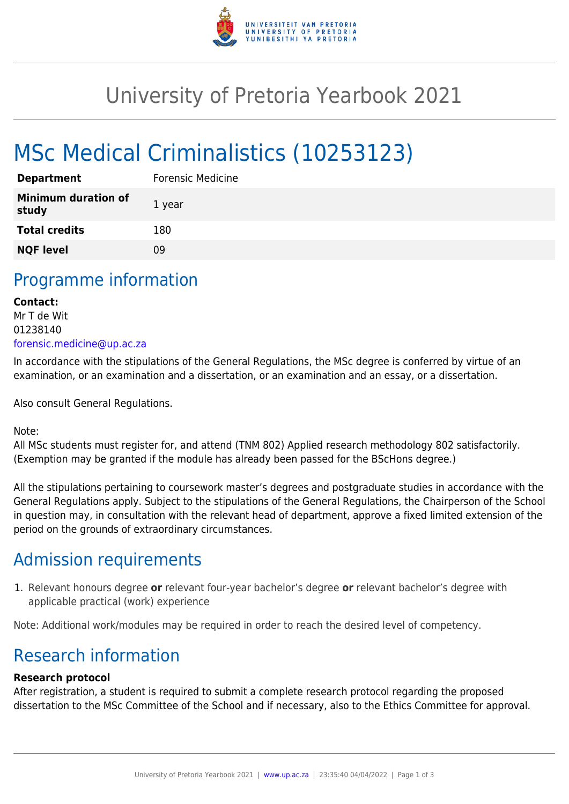

## University of Pretoria Yearbook 2021

# MSc Medical Criminalistics (10253123)

| <b>Department</b>                   | <b>Forensic Medicine</b> |
|-------------------------------------|--------------------------|
| <b>Minimum duration of</b><br>study | 1 year                   |
| <b>Total credits</b>                | 180                      |
| <b>NQF level</b>                    | ΩÓ                       |

### Programme information

#### **Contact:**  Mr T de Wit 01238140 [forensic.medicine@up.ac.za](mailto:forensic.medicine@up.ac.za)

In accordance with the stipulations of the General Regulations, the MSc degree is conferred by virtue of an examination, or an examination and a dissertation, or an examination and an essay, or a dissertation.

Also consult General Regulations.

Note:

All MSc students must register for, and attend (TNM 802) Applied research methodology 802 satisfactorily. (Exemption may be granted if the module has already been passed for the BScHons degree.)

All the stipulations pertaining to coursework master's degrees and postgraduate studies in accordance with the General Regulations apply. Subject to the stipulations of the General Regulations, the Chairperson of the School in question may, in consultation with the relevant head of department, approve a fixed limited extension of the period on the grounds of extraordinary circumstances.

### Admission requirements

1. Relevant honours degree **or** relevant four-year bachelor's degree **or** relevant bachelor's degree with applicable practical (work) experience

Note: Additional work/modules may be required in order to reach the desired level of competency.

### Research information

#### **Research protocol**

After registration, a student is required to submit a complete research protocol regarding the proposed dissertation to the MSc Committee of the School and if necessary, also to the Ethics Committee for approval.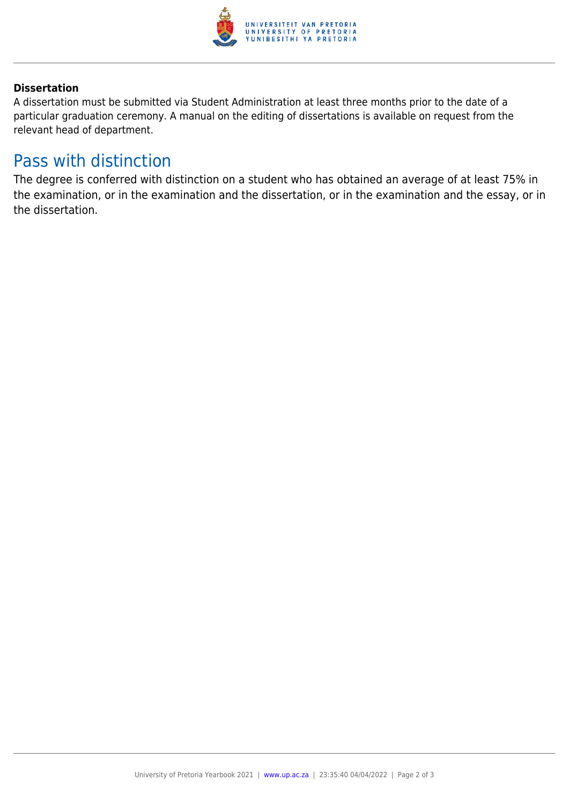

#### **Dissertation**

A dissertation must be submitted via Student Administration at least three months prior to the date of a particular graduation ceremony. A manual on the editing of dissertations is available on request from the relevant head of department.

### Pass with distinction

The degree is conferred with distinction on a student who has obtained an average of at least 75% in the examination, or in the examination and the dissertation, or in the examination and the essay, or in the dissertation.